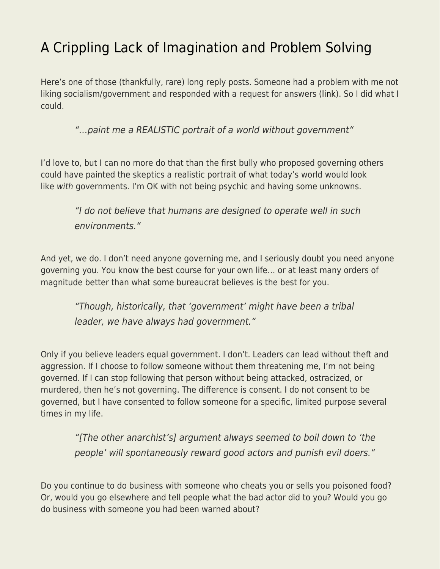## [A Crippling Lack of Imagination and Problem Solving](https://everything-voluntary.com/a-crippling-lack-of-imagination-and-problem-solving)

Here's one of those (thankfully, rare) long reply posts. Someone had a problem with me not liking socialism/government and responded with a request for answers [\(link](https://standupforamerica.wordpress.com/2018/12/09/my-favorite-socialist/)). So I did what I could.

"…paint me a REALISTIC portrait of a world without government"

I'd love to, but I can no more do that than the first bully who proposed governing others could have painted the skeptics a realistic portrait of what today's world would look like with governments. I'm OK with not being psychic and having some unknowns.

"I do not believe that humans are designed to operate well in such environments."

And yet, we do. I don't need anyone governing me, and I seriously doubt you need anyone governing you. You know the best course for your own life… or at least many orders of magnitude better than what some bureaucrat believes is the best for you.

"Though, historically, that 'government' might have been a tribal leader, we have always had government."

Only if you believe leaders equal government. I don't. Leaders can lead without theft and aggression. If I choose to follow someone without them threatening me, I'm not being governed. If I can stop following that person without being attacked, ostracized, or murdered, then he's not governing. The difference is consent. I do not consent to be governed, but I have consented to follow someone for a specific, limited purpose several times in my life.

"[The other anarchist's] argument always seemed to boil down to 'the people' will spontaneously reward good actors and punish evil doers."

Do you continue to do business with someone who cheats you or sells you poisoned food? Or, would you go elsewhere and tell people what the bad actor did to you? Would you go do business with someone you had been warned about?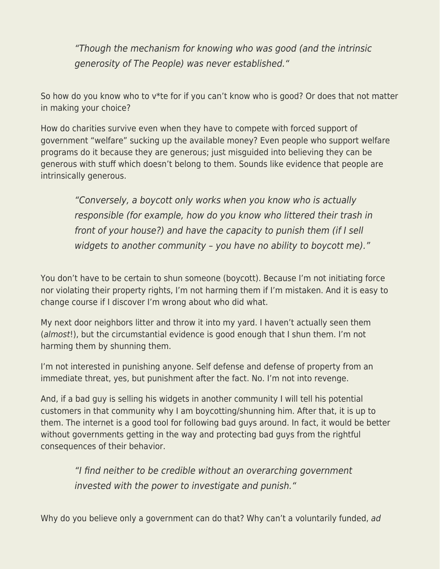"Though the mechanism for knowing who was good (and the intrinsic generosity of The People) was never established."

So how do you know who to v\*te for if you can't know who is good? Or does that not matter in making your choice?

How do charities survive even when they have to compete with forced support of government "welfare" sucking up the available money? Even people who support welfare programs do it because they are generous; just misguided into believing they can be generous with stuff which doesn't belong to them. Sounds like evidence that people are intrinsically generous.

"Conversely, a boycott only works when you know who is actually responsible (for example, how do you know who littered their trash in front of your house?) and have the capacity to punish them (if I sell widgets to another community - you have no ability to boycott me)."

You don't have to be certain to shun someone (boycott). Because I'm not initiating force nor violating their property rights, I'm not harming them if I'm mistaken. And it is easy to change course if I discover I'm wrong about who did what.

My next door neighbors litter and throw it into my yard. I haven't actually seen them (almost!), but the circumstantial evidence is good enough that I shun them. I'm not harming them by shunning them.

I'm not interested in punishing anyone. Self defense and defense of property from an immediate threat, yes, but punishment after the fact. No. I'm not into revenge.

And, if a bad guy is selling his widgets in another community I will tell his potential customers in that community why I am boycotting/shunning him. After that, it is up to them. The internet is a good tool for following bad guys around. In fact, it would be better without governments getting in the way and protecting bad guys from the rightful consequences of their behavior.

"I find neither to be credible without an overarching government invested with the power to investigate and punish."

Why do you believe only a government can do that? Why can't a voluntarily funded, ad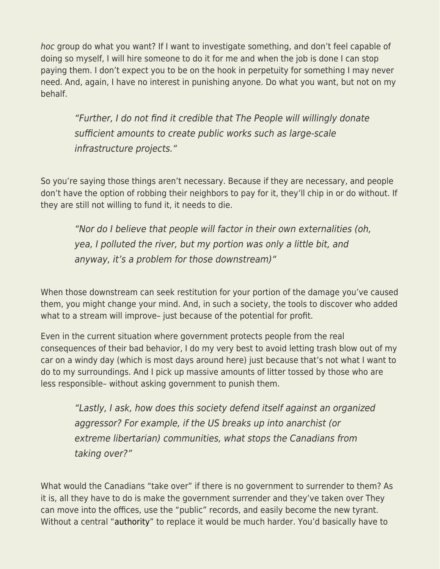hoc group do what you want? If I want to investigate something, and don't feel capable of doing so myself, I will hire someone to do it for me and when the job is done I can stop paying them. I don't expect you to be on the hook in perpetuity for something I may never need. And, again, I have no interest in punishing anyone. Do what you want, but not on my behalf.

"Further, I do not find it credible that The People will willingly donate sufficient amounts to create public works such as large-scale infrastructure projects."

So you're saying those things aren't necessary. Because if they are necessary, and people don't have the option of robbing their neighbors to pay for it, they'll chip in or do without. If they are still not willing to fund it, it needs to die.

"Nor do I believe that people will factor in their own externalities (oh, yea, I polluted the river, but my portion was only a little bit, and anyway, it's a problem for those downstream)"

When those downstream can seek restitution for your portion of the damage you've caused them, you might change your mind. And, in such a society, the tools to discover who added what to a stream will improve– just because of the potential for profit.

Even in the current situation where government protects people from the real consequences of their bad behavior, I do my very best to avoid letting trash blow out of my car on a windy day (which is most days around here) just because that's not what I want to do to my surroundings. And I pick up massive amounts of litter tossed by those who are less responsible– without asking government to punish them.

"Lastly, I ask, how does this society defend itself against an organized aggressor? For example, if the US breaks up into anarchist (or extreme libertarian) communities, what stops the Canadians from taking over?"

What would the Canadians "take over" if there is no government to surrender to them? As it is, all they have to do is make the government surrender and they've taken over They can move into the offices, use the "public" records, and easily become the new tyrant. Without a central ["authority"](https://www.amazon.com/Most-Dangerous-Superstition-Larken-Rose-ebook/dp/B00UV41W2U/?tag=livifree07-20) to replace it would be much harder. You'd basically have to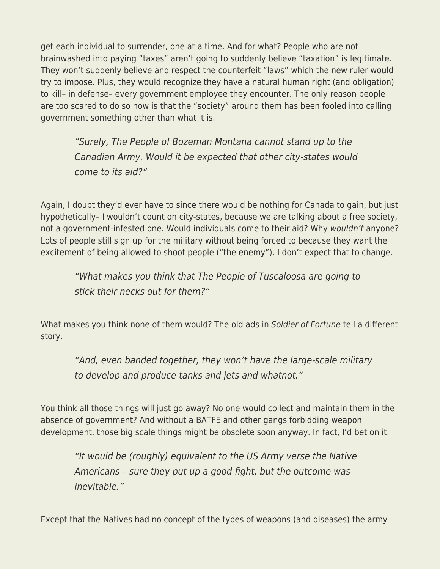get each individual to surrender, one at a time. And for what? People who are not brainwashed into paying "taxes" aren't going to suddenly believe "taxation" is legitimate. They won't suddenly believe and respect the counterfeit "laws" which the new ruler would try to impose. Plus, they would recognize they have a natural human right (and obligation) to kill– in defense– every government employee they encounter. The only reason people are too scared to do so now is that the "society" around them has been fooled into calling government something other than what it is.

"Surely, The People of Bozeman Montana cannot stand up to the Canadian Army. Would it be expected that other city-states would come to its aid?"

Again, I doubt they'd ever have to since there would be nothing for Canada to gain, but just hypothetically– I wouldn't count on city-states, because we are talking about a free society, not a government-infested one. Would individuals come to their aid? Why wouldn't anyone? Lots of people still sign up for the military without being forced to because they want the excitement of being allowed to shoot people ("the enemy"). I don't expect that to change.

"What makes you think that The People of Tuscaloosa are going to stick their necks out for them?"

What makes you think none of them would? The old ads in Soldier of Fortune tell a different story.

"And, even banded together, they won't have the large-scale military to develop and produce tanks and jets and whatnot."

You think all those things will just go away? No one would collect and maintain them in the absence of government? And without a BATFE and other gangs forbidding weapon development, those big scale things might be obsolete soon anyway. In fact, I'd bet on it.

"It would be (roughly) equivalent to the US Army verse the Native Americans – sure they put up a good fight, but the outcome was inevitable."

Except that the Natives had no concept of the types of weapons (and diseases) the army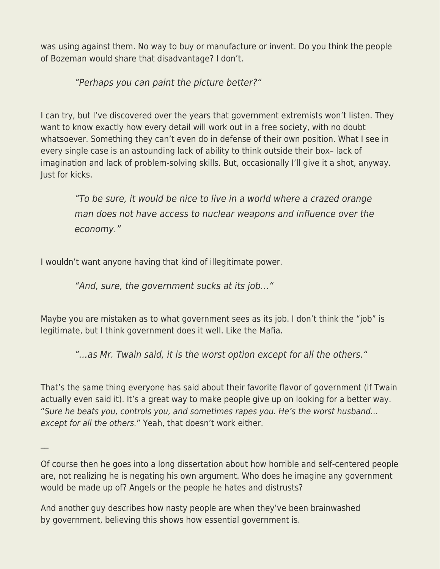was using against them. No way to buy or manufacture or invent. Do you think the people of Bozeman would share that disadvantage? I don't.

"Perhaps you can paint the picture better?"

I can try, but I've discovered over the years that government extremists won't listen. They want to know exactly how every detail will work out in a free society, with no doubt whatsoever. Something they can't even do in defense of their own position. What I see in every single case is an astounding lack of ability to think outside their box– lack of imagination and lack of problem-solving skills. But, occasionally I'll give it a shot, anyway. Just for kicks.

"To be sure, it would be nice to live in a world where a crazed orange man does not have access to nuclear weapons and influence over the economy."

I wouldn't want anyone having that kind of illegitimate power.

"And, sure, the government sucks at its job…"

Maybe you are mistaken as to what government sees as its job. I don't think the "job" is legitimate, but I think government does it well. Like the Mafia.

"…as Mr. Twain said, it is the worst option except for all the others."

That's the same thing everyone has said about their favorite flavor of government (if Twain actually even said it). It's a great way to make people give up on looking for a better way. "Sure he beats you, controls you, and sometimes rapes you. He's the worst husband… except for all the others." Yeah, that doesn't work either.

 $\mathbb{Z}^2$ 

Of course then he goes into a long dissertation about how horrible and self-centered people are, not realizing he is negating his own argument. Who does he imagine any government would be made up of? Angels or the people he hates and distrusts?

And another guy describes how nasty people are when they've been brainwashed by government, believing this shows how essential government is.